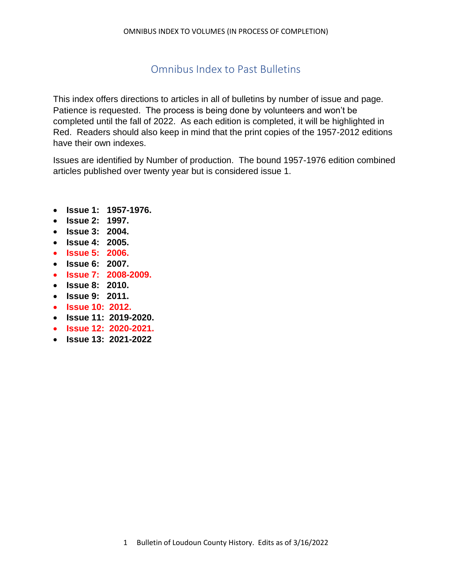# Omnibus Index to Past Bulletins

This index offers directions to articles in all of bulletins by number of issue and page. Patience is requested. The process is being done by volunteers and won't be completed until the fall of 2022. As each edition is completed, it will be highlighted in Red. Readers should also keep in mind that the print copies of the 1957-2012 editions have their own indexes.

Issues are identified by Number of production. The bound 1957-1976 edition combined articles published over twenty year but is considered issue 1.

- **Issue 1: [1957-1976.](https://diversityandequalityfairsofvirginia.wordpress.com/bulletin-of-loudoun-county-history/1957-1976-editions-of-the-bulletin-of-the-historical-society-of-loudoun-county-virginia/)**
- **Issue 2: [1997.](https://diversityandequalityfairsofvirginia.wordpress.com/bulletin-of-loudoun-county-history/1997-edition-bulletin-of-the-historical-society-of-loudoun-county-virginia/)**
- **Issue 3: [2004.](https://diversityandequalityfairsofvirginia.wordpress.com/2004-edition-of-the-bulletin-of-the-loudoun-county-historical-society/)**
- **Issue 4: [2005.](https://diversityandequalityfairsofvirginia.wordpress.com/2005-bulletin-of-the-loudoun-county-historical-society/)**
- **Issue 5: [2006.](https://diversityandequalityfairsofvirginia.wordpress.com/bulletin-of-loudoun-county-history/2006-edition-of-the-bulletin-of-the-loudoun-county-historical-society/)**
- **Issue 6: [2007.](https://diversityandequalityfairsofvirginia.wordpress.com/2007-edition-of-the-bulletin-of-the-loudoun-county-historical-society/)**
- **Issue 7: [2008-2009.](https://diversityandequalityfairsofvirginia.wordpress.com/2008-2009-bulletin-of-the-loudoun-county-historical-society/)**
- **Issue 8: [2010.](https://diversityandequalityfairsofvirginia.wordpress.com/2010-edition-of-the-bulletin-of-the-loudoun-county-historical-society/)**
- **Issue 9: [2011.](https://diversityandequalityfairsofvirginia.wordpress.com/2011-edition-bulletin-of-the-loudoun-county-historical-society/)**
- **Issue 10: [2012.](https://diversityandequalityfairsofvirginia.wordpress.com/bulletin-of-loudoun-county-history/2012-edition-bulletin-of-the-loudoun-county-historical-society/)**
- **Issue 11: 2019-2020.**
- **Issue 12: 2020-2021.**
- **Issue 13: 2021-2022**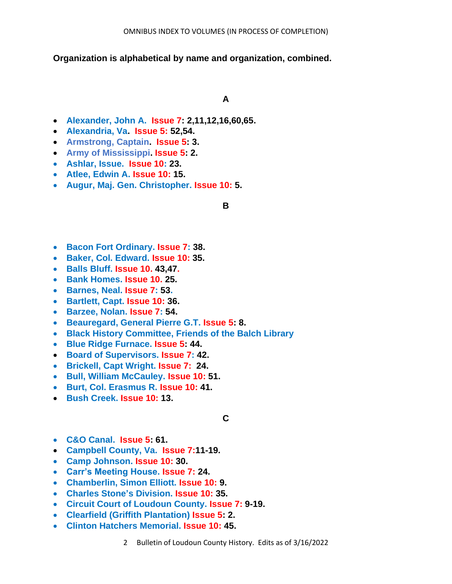**Organization is alphabetical by name and organization, combined.**

## **A**

- **Alexander, John A. Issue 7: 2,11,12,16,60,65.**
- **Alexandria, Va. Issue 5: 52,54.**
- **Armstrong, Captain. Issue 5: 3.**
- **Army of Mississippi. Issue 5: 2.**
- **Ashlar, Issue. Issue 10: 23.**
- **Atlee, Edwin A. Issue 10: 15.**
- **Augur, Maj. Gen. Christopher. Issue 10: 5.**

## **B**

- **Bacon Fort Ordinary. Issue 7: 38.**
- **Baker, Col. Edward. Issue 10: 35.**
- **Balls Bluff. Issue 10. 43,47.**
- **Bank Homes. Issue 10. 25.**
- **Barnes, Neal. Issue 7: 53.**
- **Bartlett, Capt. Issue 10: 36.**
- **Barzee, Nolan. Issue 7: 54.**
- **Beauregard, General Pierre G.T. Issue 5: 8.**
- **Black History Committee, Friends of the Balch Library**
- **Blue Ridge Furnace. Issue 5: 44.**
- **Board of Supervisors. Issue 7: 42.**
- **Brickell, Capt Wright. Issue 7: 24.**
- **Bull, William McCauley. Issue 10: 51.**
- **Burt, Col. Erasmus R. Issue 10: 41.**
- **Bush Creek. Issue 10: 13.**

# **C**

- **C&O Canal. Issue 5: 61.**
- **Campbell County, Va. Issue 7:11-19.**
- **Camp Johnson. Issue 10: 30.**
- **Carr's Meeting House. Issue 7: 24.**
- **Chamberlin, Simon Elliott. Issue 10: 9.**
- **Charles Stone's Division. Issue 10: 35.**
- **Circuit Court of Loudoun County. Issue 7: 9-19.**
- **Clearfield (Griffith Plantation) Issue 5: 2.**
- **Clinton Hatchers Memorial. Issue 10: 45.**
	- 2 Bulletin of Loudoun County History. Edits as of 3/16/2022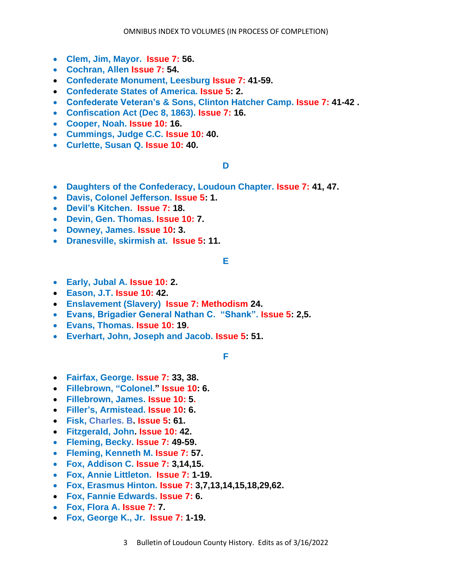- **Clem, Jim, Mayor. Issue 7: 56.**
- **Cochran, Allen Issue 7: 54.**
- **Confederate Monument, Leesburg Issue 7: 41-59.**
- **Confederate States of America. Issue 5: 2.**
- **Confederate Veteran's & Sons, Clinton Hatcher Camp. Issue 7: 41-42 .**
- **Confiscation Act (Dec 8, 1863). Issue 7: 16.**
- **Cooper, Noah. Issue 10: 16.**
- **Cummings, Judge C.C. Issue 10: 40.**
- **Curlette, Susan Q. Issue 10: 40.**

## **D**

- **Daughters of the Confederacy, Loudoun Chapter. Issue 7: 41, 47.**
- **Davis, Colonel Jefferson. Issue 5: 1.**
- **Devil's Kitchen. Issue 7: 18.**
- **Devin, Gen. Thomas. Issue 10: 7.**
- **Downey, James. Issue 10: 3.**
- **Dranesville, skirmish at. Issue 5: 11.**

# **E**

- **Early, Jubal A. Issue 10: 2.**
- **Eason, J.T. Issue 10: 42.**
- **Enslavement (Slavery) Issue 7: Methodism 24.**
- **Evans, Brigadier General Nathan C. "Shank". Issue 5: 2,5.**
- **Evans, Thomas. Issue 10: 19.**
- **Everhart, John, Joseph and Jacob. Issue 5: 51.**

**F**

- **Fairfax, George. Issue 7: 33, 38.**
- **Fillebrown, "Colonel." Issue 10: 6.**
- **Fillebrown, James. Issue 10: 5.**
- **Filler's, Armistead. Issue 10: 6.**
- **Fisk, Charles. B. Issue 5: 61.**
- **Fitzgerald, John. Issue 10: 42.**
- **Fleming, Becky. Issue 7: 49-59.**
- **Fleming, Kenneth M. Issue 7: 57.**
- **Fox, Addison C. Issue 7: 3,14,15.**
- **Fox, Annie Littleton. Issue 7: 1-19.**
- **Fox, Erasmus Hinton. Issue 7: 3,7,13,14,15,18,29,62.**
- **Fox, Fannie Edwards. Issue 7: 6.**
- **Fox, Flora A. Issue 7: 7.**
- **Fox, George K., Jr. Issue 7: 1-19.**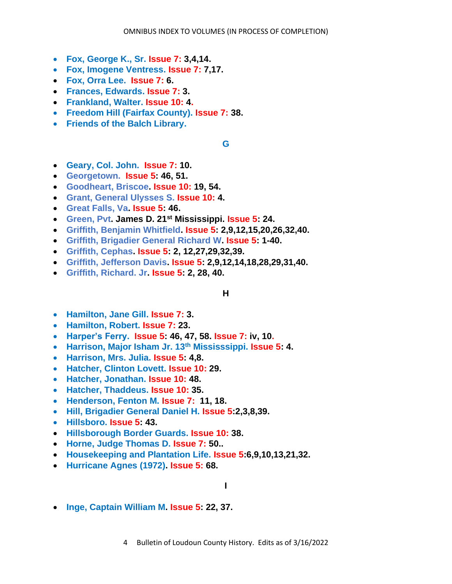- **Fox, George K., Sr. Issue 7: 3,4,14.**
- **Fox, Imogene Ventress. Issue 7: 7,17.**
- **Fox, Orra Lee. Issue 7: 6.**
- **Frances, Edwards. Issue 7: 3.**
- **Frankland, Walter. Issue 10: 4.**
- **Freedom Hill (Fairfax County). Issue 7: 38.**
- **Friends of the Balch Library.**

## **G**

- **Geary, Col. John. Issue 7: 10.**
- **Georgetown. Issue 5: 46, 51.**
- **Goodheart, Briscoe. Issue 10: 19, 54.**
- **Grant, General Ulysses S. Issue 10: 4.**
- **Great Falls, Va. Issue 5: 46.**
- **Green, Pvt. James D. 21st Mississippi. Issue 5: 24.**
- **Griffith, Benjamin Whitfield. Issue 5: 2,9,12,15,20,26,32,40.**
- **Griffith, Brigadier General Richard W. Issue 5: 1-40.**
- **Griffith, Cephas. Issue 5: 2, 12,27,29,32,39.**
- **Griffith, Jefferson Davis. Issue 5: 2,9,12,14,18,28,29,31,40.**
- **Griffith, Richard. Jr. Issue 5: 2, 28, 40.**

## **H**

- **Hamilton, Jane Gill. Issue 7: 3.**
- **Hamilton, Robert. Issue 7: 23.**
- **Harper's Ferry. Issue 5: 46, 47, 58. Issue 7: iv, 10.**
- **Harrison, Major Isham Jr. 13th Mississsippi. Issue 5: 4.**
- **Harrison, Mrs. Julia. Issue 5: 4,8.**
- **Hatcher, Clinton Lovett. Issue 10: 29.**
- **Hatcher, Jonathan. Issue 10: 48.**
- **Hatcher, Thaddeus. Issue 10: 35.**
- **Henderson, Fenton M. Issue 7: 11, 18.**
- **Hill, Brigadier General Daniel H. Issue 5:2,3,8,39.**
- **Hillsboro. Issue 5: 43.**
- **Hillsborough Border Guards. Issue 10: 38.**
- **Horne, Judge Thomas D. Issue 7: 50..**
- **Housekeeping and Plantation Life. Issue 5:6,9,10,13,21,32.**
- **Hurricane Agnes (1972). Issue 5: 68.**

## **I**

• **Inge, Captain William M. Issue 5: 22, 37.**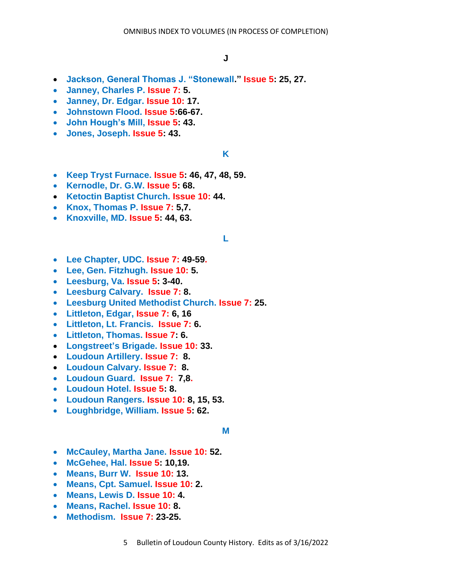- **Jackson, General Thomas J. "Stonewall." Issue 5: 25, 27.**
- **Janney, Charles P. Issue 7: 5.**
- **Janney, Dr. Edgar. Issue 10: 17.**
- **Johnstown Flood. Issue 5:66-67.**
- **John Hough's Mill, Issue 5: 43.**
- **Jones, Joseph. Issue 5: 43.**

### **K**

- **Keep Tryst Furnace. Issue 5: 46, 47, 48, 59.**
- **Kernodle, Dr. G.W. Issue 5: 68.**
- **Ketoctin Baptist Church. Issue 10: 44.**
- **Knox, Thomas P. Issue 7: 5,7.**
- **Knoxville, MD. Issue 5: 44, 63.**

## **L**

- **Lee Chapter, UDC. Issue 7: 49-59.**
- **Lee, Gen. Fitzhugh. Issue 10: 5.**
- **Leesburg, Va. Issue 5: 3-40.**
- **Leesburg Calvary. Issue 7: 8.**
- **Leesburg United Methodist Church. Issue 7: 25.**
- **Littleton, Edgar, Issue 7: 6, 16**
- **Littleton, Lt. Francis. Issue 7: 6.**
- **Littleton, Thomas. Issue 7: 6.**
- **Longstreet's Brigade. Issue 10: 33.**
- **Loudoun Artillery. Issue 7: 8.**
- **Loudoun Calvary. Issue 7: 8.**
- **Loudoun Guard. Issue 7: 7,8.**
- **Loudoun Hotel. Issue 5: 8.**
- **Loudoun Rangers. Issue 10: 8, 15, 53.**
- **Loughbridge, William. Issue 5: 62.**

#### **M**

- **McCauley, Martha Jane. Issue 10: 52.**
- **McGehee, Hal. Issue 5: 10,19.**
- **Means, Burr W. Issue 10: 13.**
- **Means, Cpt. Samuel. Issue 10: 2.**
- **Means, Lewis D. Issue 10: 4.**
- **Means, Rachel. Issue 10: 8.**
- **Methodism. Issue 7: 23-25.**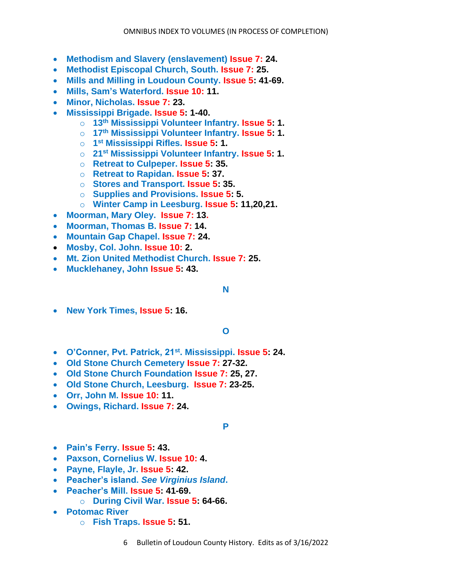- **Methodism and Slavery (enslavement) Issue 7: 24.**
- **Methodist Episcopal Church, South. Issue 7: 25.**
- **Mills and Milling in Loudoun County. Issue 5: 41-69.**
- **Mills, Sam's Waterford. Issue 10: 11.**
- **Minor, Nicholas. Issue 7: 23.**
- **Mississippi Brigade. Issue 5: 1-40.**
	- o **13th Mississippi Volunteer Infantry. Issue 5: 1.**
	- o **17th Mississippi Volunteer Infantry. Issue 5: 1.**
	- o **1 st Mississippi Rifles. Issue 5: 1.**
	- o **21st Mississippi Volunteer Infantry. Issue 5: 1.**
	- o **Retreat to Culpeper. Issue 5: 35.**
	- o **Retreat to Rapidan. Issue 5: 37.**
	- o **Stores and Transport. Issue 5: 35.**
	- o **Supplies and Provisions. Issue 5: 5.**
	- o **Winter Camp in Leesburg. Issue 5: 11,20,21.**
- **Moorman, Mary Oley. Issue 7: 13.**
- **Moorman, Thomas B. Issue 7: 14.**
- **Mountain Gap Chapel. Issue 7: 24.**
- **Mosby, Col. John. Issue 10: 2.**
- **Mt. Zion United Methodist Church. Issue 7: 25.**
- **Mucklehaney, John Issue 5: 43.**

## **N**

• **New York Times, Issue 5: 16.**

# **O**

- **O'Conner, Pvt. Patrick, 21st. Mississippi. Issue 5: 24.**
- **Old Stone Church Cemetery Issue 7: 27-32.**
- **Old Stone Church Foundation Issue 7: 25, 27.**
- **Old Stone Church, Leesburg. Issue 7: 23-25.**
- **Orr, John M. Issue 10: 11.**
- **Owings, Richard. Issue 7: 24.**

## **P**

- **Pain's Ferry. Issue 5: 43.**
- **Paxson, Cornelius W. Issue 10: 4.**
- **Payne, Flayle, Jr. Issue 5: 42.**
- **Peacher's island.** *See Virginius Island***.**
- **Peacher's Mill. Issue 5: 41-69.**
	- o **During Civil War. Issue 5: 64-66.**
- **Potomac River**
	- o **Fish Traps. Issue 5: 51.**
		- 6 Bulletin of Loudoun County History. Edits as of 3/16/2022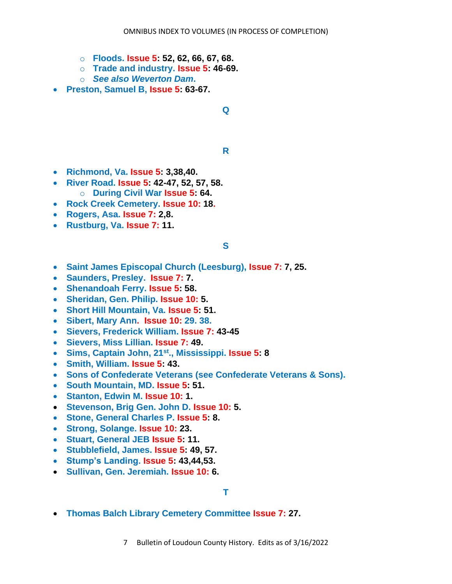- o **Floods. Issue 5: 52, 62, 66, 67, 68.**
- o **Trade and industry. Issue 5: 46-69.**
- o *See also Weverton Dam***.**
- **Preston, Samuel B, Issue 5: 63-67.**

## **Q**

#### **R**

- **Richmond, Va. Issue 5: 3,38,40.**
- **River Road. Issue 5: 42-47, 52, 57, 58.** o **During Civil War Issue 5: 64.**
- **Rock Creek Cemetery. Issue 10: 18.**
- **Rogers, Asa. Issue 7: 2,8.**
- **Rustburg, Va. Issue 7: 11.**

## **S**

- **Saint James Episcopal Church (Leesburg), Issue 7: 7, 25.**
- **Saunders, Presley. Issue 7: 7.**
- **Shenandoah Ferry. Issue 5: 58.**
- **Sheridan, Gen. Philip. Issue 10: 5.**
- **Short Hill Mountain, Va. Issue 5: 51.**
- **Sibert, Mary Ann. Issue 10: 29. 38.**
- **Sievers, Frederick William. Issue 7: 43-45**
- **Sievers, Miss Lillian. Issue 7: 49.**
- **Sims, Captain John, 21st., Mississippi. Issue 5: 8**
- **Smith, William. Issue 5: 43.**
- **Sons of Confederate Veterans (see Confederate Veterans & Sons).**
- **South Mountain, MD. Issue 5: 51.**
- **Stanton, Edwin M. Issue 10: 1.**
- **Stevenson, Brig Gen. John D. Issue 10: 5.**
- **Stone, General Charles P. Issue 5: 8.**
- **Strong, Solange. Issue 10: 23.**
- **Stuart, General JEB Issue 5: 11.**
- **Stubblefield, James. Issue 5: 49, 57.**
- **Stump's Landing. Issue 5: 43,44,53.**
- **Sullivan, Gen. Jeremiah. Issue 10: 6.**

## **T**

- **Thomas Balch Library Cemetery Committee Issue 7: 27.**
	- 7 Bulletin of Loudoun County History. Edits as of 3/16/2022